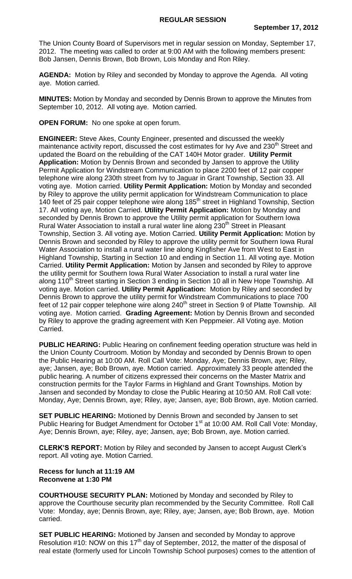The Union County Board of Supervisors met in regular session on Monday, September 17, 2012. The meeting was called to order at 9:00 AM with the following members present: Bob Jansen, Dennis Brown, Bob Brown, Lois Monday and Ron Riley.

**AGENDA:** Motion by Riley and seconded by Monday to approve the Agenda. All voting aye. Motion carried.

**MINUTES:** Motion by Monday and seconded by Dennis Brown to approve the Minutes from September 10, 2012. All voting aye. Motion carried.

**OPEN FORUM:** No one spoke at open forum.

**ENGINEER:** Steve Akes, County Engineer, presented and discussed the weekly maintenance activity report, discussed the cost estimates for Ivy Ave and 230<sup>th</sup> Street and updated the Board on the rebuilding of the CAT 140H Motor grader. **Utility Permit Application:** Motion by Dennis Brown and seconded by Jansen to approve the Utility Permit Application for Windstream Communication to place 2200 feet of 12 pair copper telephone wire along 230th street from Ivy to Jaguar in Grant Township, Section 33. All voting aye. Motion carried. **Utility Permit Application:** Motion by Monday and seconded by Riley to approve the utility permit application for Windstream Communication to place 140 feet of 25 pair copper telephone wire along 185<sup>th</sup> street in Highland Township, Section 17. All voting aye, Motion Carried. **Utility Permit Application:** Motion by Monday and seconded by Dennis Brown to approve the Utility permit application for Southern Iowa Rural Water Association to install a rural water line along 230<sup>th</sup> Street in Pleasant Township, Section 3. All voting aye. Motion Carried. **Utility Permit Application:** Motion by Dennis Brown and seconded by Riley to approve the utility permit for Southern Iowa Rural Water Association to install a rural water line along Kingfisher Ave from West to East in Highland Township, Starting in Section 10 and ending in Section 11. All voting aye. Motion Carried. **Utility Permit Application:** Motion by Jansen and seconded by Riley to approve the utility permit for Southern Iowa Rural Water Association to install a rural water line along 110<sup>th</sup> Street starting in Section 3 ending in Section 10 all in New Hope Township. All voting aye. Motion carried. **Utility Permit Application:** Motion by Riley and seconded by Dennis Brown to approve the utility permit for Windstream Communications to place 700 feet of 12 pair copper telephone wire along 240<sup>th</sup> street in Section 9 of Platte Township. All voting aye. Motion carried. **Grading Agreement:** Motion by Dennis Brown and seconded by Riley to approve the grading agreement with Ken Peppmeier. All Voting aye. Motion Carried.

**PUBLIC HEARING:** Public Hearing on confinement feeding operation structure was held in the Union County Courtroom. Motion by Monday and seconded by Dennis Brown to open the Public Hearing at 10:00 AM. Roll Call Vote: Monday, Aye; Dennis Brown, aye; Riley, aye; Jansen, aye; Bob Brown, aye. Motion carried. Approximately 33 people attended the public hearing. A number of citizens expressed their concerns on the Master Matrix and construction permits for the Taylor Farms in Highland and Grant Townships. Motion by Jansen and seconded by Monday to close the Public Hearing at 10:50 AM. Roll Call vote: Monday, Aye; Dennis Brown, aye; Riley, aye; Jansen, aye; Bob Brown, aye. Motion carried.

**SET PUBLIC HEARING:** Motioned by Dennis Brown and seconded by Jansen to set Public Hearing for Budget Amendment for October 1<sup>st</sup> at 10:00 AM. Roll Call Vote: Monday, Aye; Dennis Brown, aye; Riley, aye; Jansen, aye; Bob Brown, aye. Motion carried.

**CLERK'S REPORT:** Motion by Riley and seconded by Jansen to accept August Clerk's report. All voting aye. Motion Carried.

## **Recess for lunch at 11:19 AM Reconvene at 1:30 PM**

**COURTHOUSE SECURITY PLAN:** Motioned by Monday and seconded by Riley to approve the Courthouse security plan recommended by the Security Committee. Roll Call Vote: Monday, aye; Dennis Brown, aye; Riley, aye; Jansen, aye; Bob Brown, aye. Motion carried.

**SET PUBLIC HEARING:** Motioned by Jansen and seconded by Monday to approve Resolution #10: NOW on this 17<sup>th</sup> day of September, 2012, the matter of the disposal of real estate (formerly used for Lincoln Township School purposes) comes to the attention of